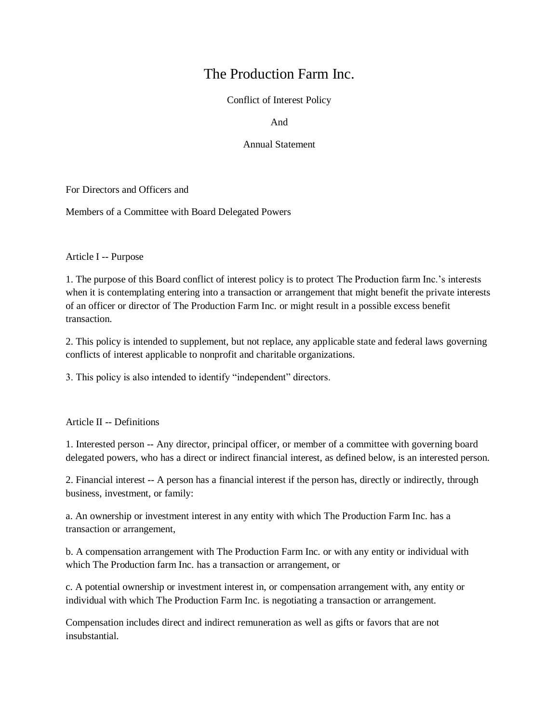# The Production Farm Inc.

Conflict of Interest Policy

And

#### Annual Statement

For Directors and Officers and

Members of a Committee with Board Delegated Powers

Article I -- Purpose

1. The purpose of this Board conflict of interest policy is to protect The Production farm Inc.'s interests when it is contemplating entering into a transaction or arrangement that might benefit the private interests of an officer or director of The Production Farm Inc. or might result in a possible excess benefit transaction.

2. This policy is intended to supplement, but not replace, any applicable state and federal laws governing conflicts of interest applicable to nonprofit and charitable organizations.

3. This policy is also intended to identify "independent" directors.

#### Article II -- Definitions

1. Interested person -- Any director, principal officer, or member of a committee with governing board delegated powers, who has a direct or indirect financial interest, as defined below, is an interested person.

2. Financial interest -- A person has a financial interest if the person has, directly or indirectly, through business, investment, or family:

a. An ownership or investment interest in any entity with which The Production Farm Inc. has a transaction or arrangement,

b. A compensation arrangement with The Production Farm Inc. or with any entity or individual with which The Production farm Inc. has a transaction or arrangement, or

c. A potential ownership or investment interest in, or compensation arrangement with, any entity or individual with which The Production Farm Inc. is negotiating a transaction or arrangement.

Compensation includes direct and indirect remuneration as well as gifts or favors that are not insubstantial.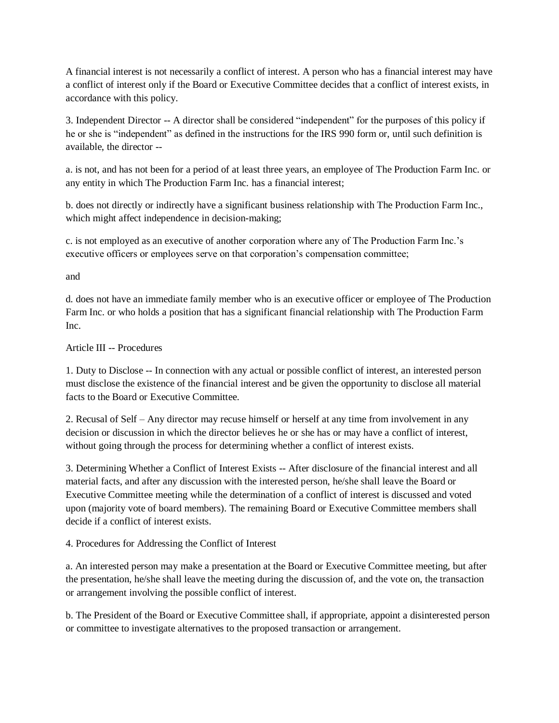A financial interest is not necessarily a conflict of interest. A person who has a financial interest may have a conflict of interest only if the Board or Executive Committee decides that a conflict of interest exists, in accordance with this policy.

3. Independent Director -- A director shall be considered "independent" for the purposes of this policy if he or she is "independent" as defined in the instructions for the IRS 990 form or, until such definition is available, the director --

a. is not, and has not been for a period of at least three years, an employee of The Production Farm Inc. or any entity in which The Production Farm Inc. has a financial interest;

b. does not directly or indirectly have a significant business relationship with The Production Farm Inc., which might affect independence in decision-making;

c. is not employed as an executive of another corporation where any of The Production Farm Inc.'s executive officers or employees serve on that corporation's compensation committee;

and

d. does not have an immediate family member who is an executive officer or employee of The Production Farm Inc. or who holds a position that has a significant financial relationship with The Production Farm Inc.

### Article III -- Procedures

1. Duty to Disclose -- In connection with any actual or possible conflict of interest, an interested person must disclose the existence of the financial interest and be given the opportunity to disclose all material facts to the Board or Executive Committee.

2. Recusal of Self – Any director may recuse himself or herself at any time from involvement in any decision or discussion in which the director believes he or she has or may have a conflict of interest, without going through the process for determining whether a conflict of interest exists.

3. Determining Whether a Conflict of Interest Exists -- After disclosure of the financial interest and all material facts, and after any discussion with the interested person, he/she shall leave the Board or Executive Committee meeting while the determination of a conflict of interest is discussed and voted upon (majority vote of board members). The remaining Board or Executive Committee members shall decide if a conflict of interest exists.

4. Procedures for Addressing the Conflict of Interest

a. An interested person may make a presentation at the Board or Executive Committee meeting, but after the presentation, he/she shall leave the meeting during the discussion of, and the vote on, the transaction or arrangement involving the possible conflict of interest.

b. The President of the Board or Executive Committee shall, if appropriate, appoint a disinterested person or committee to investigate alternatives to the proposed transaction or arrangement.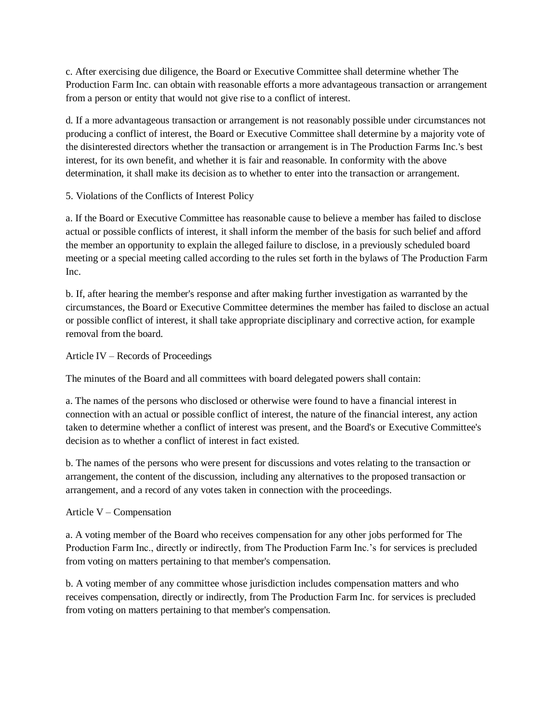c. After exercising due diligence, the Board or Executive Committee shall determine whether The Production Farm Inc. can obtain with reasonable efforts a more advantageous transaction or arrangement from a person or entity that would not give rise to a conflict of interest.

d. If a more advantageous transaction or arrangement is not reasonably possible under circumstances not producing a conflict of interest, the Board or Executive Committee shall determine by a majority vote of the disinterested directors whether the transaction or arrangement is in The Production Farms Inc.'s best interest, for its own benefit, and whether it is fair and reasonable. In conformity with the above determination, it shall make its decision as to whether to enter into the transaction or arrangement.

5. Violations of the Conflicts of Interest Policy

a. If the Board or Executive Committee has reasonable cause to believe a member has failed to disclose actual or possible conflicts of interest, it shall inform the member of the basis for such belief and afford the member an opportunity to explain the alleged failure to disclose, in a previously scheduled board meeting or a special meeting called according to the rules set forth in the bylaws of The Production Farm Inc.

b. If, after hearing the member's response and after making further investigation as warranted by the circumstances, the Board or Executive Committee determines the member has failed to disclose an actual or possible conflict of interest, it shall take appropriate disciplinary and corrective action, for example removal from the board.

Article IV – Records of Proceedings

The minutes of the Board and all committees with board delegated powers shall contain:

a. The names of the persons who disclosed or otherwise were found to have a financial interest in connection with an actual or possible conflict of interest, the nature of the financial interest, any action taken to determine whether a conflict of interest was present, and the Board's or Executive Committee's decision as to whether a conflict of interest in fact existed.

b. The names of the persons who were present for discussions and votes relating to the transaction or arrangement, the content of the discussion, including any alternatives to the proposed transaction or arrangement, and a record of any votes taken in connection with the proceedings.

Article V – Compensation

a. A voting member of the Board who receives compensation for any other jobs performed for The Production Farm Inc., directly or indirectly, from The Production Farm Inc.'s for services is precluded from voting on matters pertaining to that member's compensation.

b. A voting member of any committee whose jurisdiction includes compensation matters and who receives compensation, directly or indirectly, from The Production Farm Inc. for services is precluded from voting on matters pertaining to that member's compensation.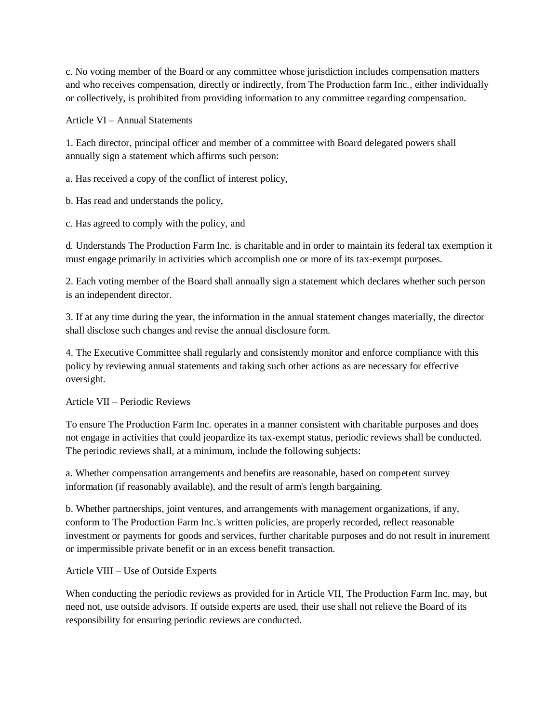c. No voting member of the Board or any committee whose jurisdiction includes compensation matters and who receives compensation, directly or indirectly, from The Production farm Inc., either individually or collectively, is prohibited from providing information to any committee regarding compensation.

Article VI – Annual Statements

1. Each director, principal officer and member of a committee with Board delegated powers shall annually sign a statement which affirms such person:

a. Has received a copy of the conflict of interest policy,

b. Has read and understands the policy,

c. Has agreed to comply with the policy, and

d. Understands The Production Farm Inc. is charitable and in order to maintain its federal tax exemption it must engage primarily in activities which accomplish one or more of its tax-exempt purposes.

2. Each voting member of the Board shall annually sign a statement which declares whether such person is an independent director.

3. If at any time during the year, the information in the annual statement changes materially, the director shall disclose such changes and revise the annual disclosure form.

4. The Executive Committee shall regularly and consistently monitor and enforce compliance with this policy by reviewing annual statements and taking such other actions as are necessary for effective oversight.

Article VII – Periodic Reviews

To ensure The Production Farm Inc. operates in a manner consistent with charitable purposes and does not engage in activities that could jeopardize its tax-exempt status, periodic reviews shall be conducted. The periodic reviews shall, at a minimum, include the following subjects:

a. Whether compensation arrangements and benefits are reasonable, based on competent survey information (if reasonably available), and the result of arm's length bargaining.

b. Whether partnerships, joint ventures, and arrangements with management organizations, if any, conform to The Production Farm Inc.'s written policies, are properly recorded, reflect reasonable investment or payments for goods and services, further charitable purposes and do not result in inurement or impermissible private benefit or in an excess benefit transaction.

Article VIII – Use of Outside Experts

When conducting the periodic reviews as provided for in Article VII, The Production Farm Inc. may, but need not, use outside advisors. If outside experts are used, their use shall not relieve the Board of its responsibility for ensuring periodic reviews are conducted.